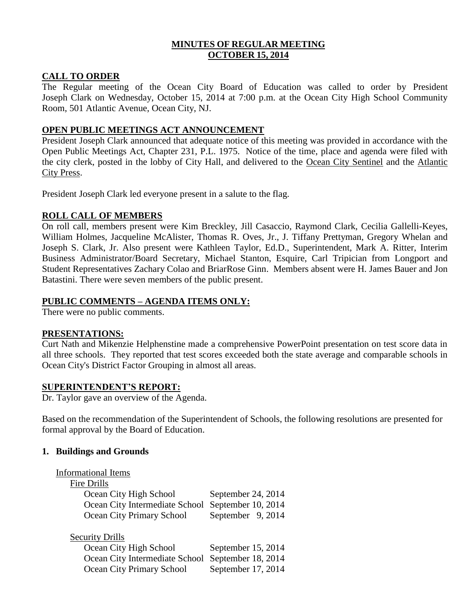# **MINUTES OF REGULAR MEETING OCTOBER 15, 2014**

## **CALL TO ORDER**

The Regular meeting of the Ocean City Board of Education was called to order by President Joseph Clark on Wednesday, October 15, 2014 at 7:00 p.m. at the Ocean City High School Community Room, 501 Atlantic Avenue, Ocean City, NJ.

# **OPEN PUBLIC MEETINGS ACT ANNOUNCEMENT**

President Joseph Clark announced that adequate notice of this meeting was provided in accordance with the Open Public Meetings Act, Chapter 231, P.L. 1975. Notice of the time, place and agenda were filed with the city clerk, posted in the lobby of City Hall, and delivered to the Ocean City Sentinel and the Atlantic City Press.

President Joseph Clark led everyone present in a salute to the flag.

# **ROLL CALL OF MEMBERS**

On roll call, members present were Kim Breckley, Jill Casaccio, Raymond Clark, Cecilia Gallelli-Keyes, William Holmes, Jacqueline McAlister, Thomas R. Oves, Jr., J. Tiffany Prettyman, Gregory Whelan and Joseph S. Clark, Jr. Also present were Kathleen Taylor, Ed.D., Superintendent, Mark A. Ritter, Interim Business Administrator/Board Secretary, Michael Stanton, Esquire, Carl Tripician from Longport and Student Representatives Zachary Colao and BriarRose Ginn. Members absent were H. James Bauer and Jon Batastini. There were seven members of the public present.

# **PUBLIC COMMENTS – AGENDA ITEMS ONLY:**

There were no public comments.

### **PRESENTATIONS:**

Curt Nath and Mikenzie Helphenstine made a comprehensive PowerPoint presentation on test score data in all three schools. They reported that test scores exceeded both the state average and comparable schools in Ocean City's District Factor Grouping in almost all areas.

### **SUPERINTENDENT'S REPORT:**

Dr. Taylor gave an overview of the Agenda.

Based on the recommendation of the Superintendent of Schools, the following resolutions are presented for formal approval by the Board of Education.

### **1. Buildings and Grounds**

| <b>Informational Items</b>       |                    |
|----------------------------------|--------------------|
| Fire Drills                      |                    |
| Ocean City High School           | September 24, 2014 |
| Ocean City Intermediate School   | September 10, 2014 |
| <b>Ocean City Primary School</b> | September 9, 2014  |
|                                  |                    |
| <b>Security Drills</b>           |                    |
| Ocean City High School           | September 15, 2014 |
| Ocean City Intermediate School   | September 18, 2014 |
| Ocean City Primary School        | September 17, 2014 |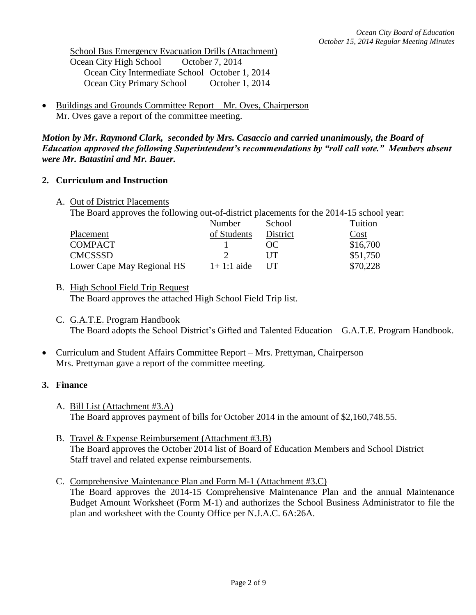School Bus Emergency Evacuation Drills (Attachment) Ocean City High School October 7, 2014 Ocean City Intermediate School October 1, 2014 Ocean City Primary School October 1, 2014

 Buildings and Grounds Committee Report – Mr. Oves, Chairperson Mr. Oves gave a report of the committee meeting.

*Motion by Mr. Raymond Clark, seconded by Mrs. Casaccio and carried unanimously, the Board of Education approved the following Superintendent's recommendations by "roll call vote." Members absent were Mr. Batastini and Mr. Bauer.*

# **2. Curriculum and Instruction**

A. Out of District Placements

The Board approves the following out-of-district placements for the 2014-15 school year:

| Number       | School     | Tuition  |
|--------------|------------|----------|
| of Students  | District   | Cost     |
|              | OC         | \$16,700 |
|              | I IT       | \$51,750 |
| $1+1:1$ aide | <b>IIT</b> | \$70,228 |
|              |            |          |

- B. High School Field Trip Request The Board approves the attached High School Field Trip list.
- C. G.A.T.E. Program Handbook The Board adopts the School District's Gifted and Talented Education – G.A.T.E. Program Handbook.
- Curriculum and Student Affairs Committee Report Mrs. Prettyman, Chairperson Mrs. Prettyman gave a report of the committee meeting.

# **3. Finance**

- A. Bill List (Attachment #3.A) The Board approves payment of bills for October 2014 in the amount of \$2,160,748.55.
- B. Travel & Expense Reimbursement (Attachment #3.B) The Board approves the October 2014 list of Board of Education Members and School District Staff travel and related expense reimbursements.
- C. Comprehensive Maintenance Plan and Form M-1 (Attachment #3.C) The Board approves the 2014-15 Comprehensive Maintenance Plan and the annual Maintenance Budget Amount Worksheet (Form M-1) and authorizes the School Business Administrator to file the plan and worksheet with the County Office per N.J.A.C. 6A:26A.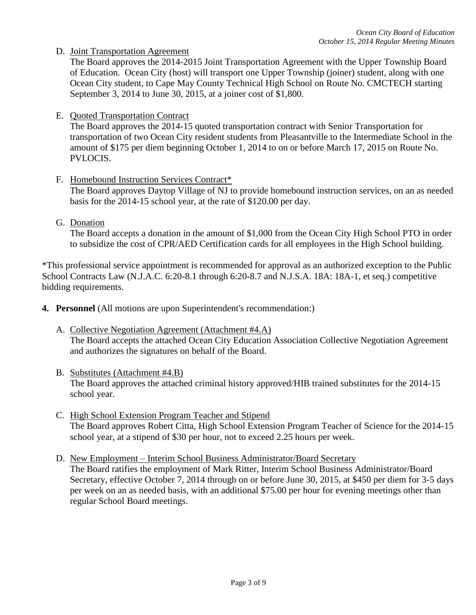D. Joint Transportation Agreement

The Board approves the 2014-2015 Joint Transportation Agreement with the Upper Township Board of Education. Ocean City (host) will transport one Upper Township (joiner) student, along with one Ocean City student, to Cape May County Technical High School on Route No. CMCTECH starting September 3, 2014 to June 30, 2015, at a joiner cost of \$1,800.

E. Quoted Transportation Contract

The Board approves the 2014-15 quoted transportation contract with Senior Transportation for transportation of two Ocean City resident students from Pleasantville to the Intermediate School in the amount of \$175 per diem beginning October 1, 2014 to on or before March 17, 2015 on Route No. PVLOCIS.

F. Homebound Instruction Services Contract\*

The Board approves Daytop Village of NJ to provide homebound instruction services, on an as needed basis for the 2014-15 school year, at the rate of \$120.00 per day.

G. Donation

The Board accepts a donation in the amount of \$1,000 from the Ocean City High School PTO in order to subsidize the cost of CPR/AED Certification cards for all employees in the High School building.

\*This professional service appointment is recommended for approval as an authorized exception to the Public School Contracts Law (N.J.A.C. 6:20-8.1 through 6:20-8.7 and N.J.S.A. 18A: 18A-1, et seq.) competitive bidding requirements.

- **4. Personnel** (All motions are upon Superintendent's recommendation:)
	- A. Collective Negotiation Agreement (Attachment #4.A) The Board accepts the attached Ocean City Education Association Collective Negotiation Agreement and authorizes the signatures on behalf of the Board.
	- B. Substitutes (Attachment #4.B) The Board approves the attached criminal history approved/HIB trained substitutes for the 2014-15 school year.
	- C. High School Extension Program Teacher and Stipend The Board approves Robert Citta, High School Extension Program Teacher of Science for the 2014-15 school year, at a stipend of \$30 per hour, not to exceed 2.25 hours per week.
	- D. New Employment Interim School Business Administrator/Board Secretary The Board ratifies the employment of Mark Ritter, Interim School Business Administrator/Board Secretary, effective October 7, 2014 through on or before June 30, 2015, at \$450 per diem for 3-5 days per week on an as needed basis, with an additional \$75.00 per hour for evening meetings other than regular School Board meetings.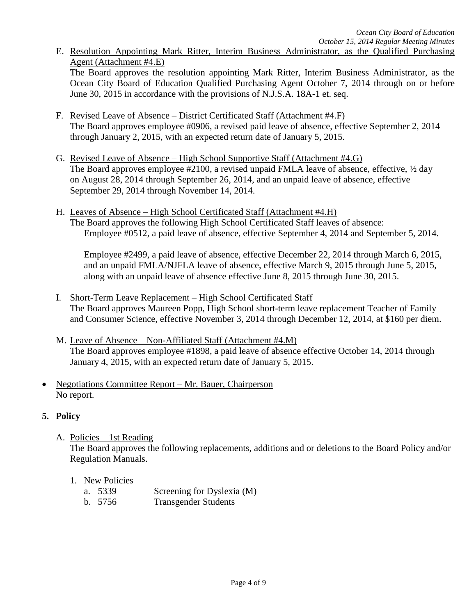E. Resolution Appointing Mark Ritter, Interim Business Administrator, as the Qualified Purchasing Agent (Attachment #4.E)

The Board approves the resolution appointing Mark Ritter, Interim Business Administrator, as the Ocean City Board of Education Qualified Purchasing Agent October 7, 2014 through on or before June 30, 2015 in accordance with the provisions of N.J.S.A. 18A-1 et. seq.

- F. Revised Leave of Absence District Certificated Staff (Attachment #4.F) The Board approves employee #0906, a revised paid leave of absence, effective September 2, 2014 through January 2, 2015, with an expected return date of January 5, 2015.
- G. Revised Leave of Absence High School Supportive Staff (Attachment #4.G) The Board approves employee #2100, a revised unpaid FMLA leave of absence, effective,  $\frac{1}{2}$  day on August 28, 2014 through September 26, 2014, and an unpaid leave of absence, effective September 29, 2014 through November 14, 2014.
- H. Leaves of Absence High School Certificated Staff (Attachment #4.H) The Board approves the following High School Certificated Staff leaves of absence: Employee #0512, a paid leave of absence, effective September 4, 2014 and September 5, 2014.

Employee #2499, a paid leave of absence, effective December 22, 2014 through March 6, 2015, and an unpaid FMLA/NJFLA leave of absence, effective March 9, 2015 through June 5, 2015, along with an unpaid leave of absence effective June 8, 2015 through June 30, 2015.

- I. Short-Term Leave Replacement High School Certificated Staff The Board approves Maureen Popp, High School short-term leave replacement Teacher of Family and Consumer Science, effective November 3, 2014 through December 12, 2014, at \$160 per diem.
- M. Leave of Absence Non-Affiliated Staff (Attachment #4.M) The Board approves employee #1898, a paid leave of absence effective October 14, 2014 through January 4, 2015, with an expected return date of January 5, 2015.
- Negotiations Committee Report Mr. Bauer, Chairperson No report.

# **5. Policy**

A. Policies – 1st Reading

The Board approves the following replacements, additions and or deletions to the Board Policy and/or Regulation Manuals.

- 1. New Policies
	- a. 5339 Screening for Dyslexia (M)
	- b. 5756 Transgender Students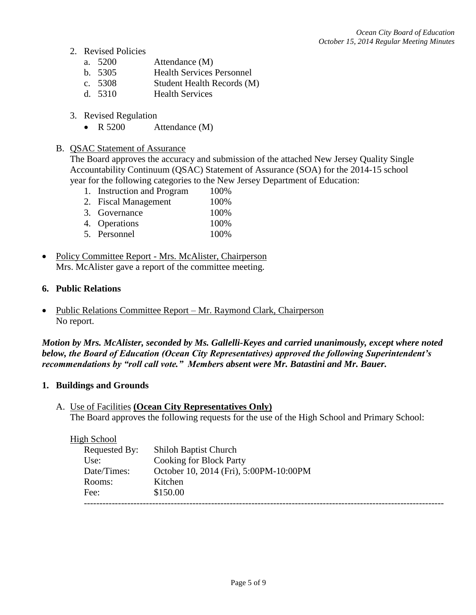- 2. Revised Policies
	- a. 5200 Attendance (M)
	- b. 5305 Health Services Personnel
	- c. 5308 Student Health Records (M)
	- d. 5310 Health Services
- 3. Revised Regulation
	- R 5200 Attendance (M)

### B. QSAC Statement of Assurance

The Board approves the accuracy and submission of the attached New Jersey Quality Single Accountability Continuum (QSAC) Statement of Assurance (SOA) for the 2014-15 school year for the following categories to the New Jersey Department of Education:

- 1. Instruction and Program 100%
- 2. Fiscal Management 100%
- 3. Governance 100%
- 4. Operations 100%
- 5. Personnel 100%
- Policy Committee Report Mrs. McAlister, Chairperson Mrs. McAlister gave a report of the committee meeting.

### **6. Public Relations**

• Public Relations Committee Report – Mr. Raymond Clark, Chairperson No report.

*Motion by Mrs. McAlister, seconded by Ms. Gallelli-Keyes and carried unanimously, except where noted below, the Board of Education (Ocean City Representatives) approved the following Superintendent's recommendations by "roll call vote." Members absent were Mr. Batastini and Mr. Bauer.*

### **1. Buildings and Grounds**

A. Use of Facilities **(Ocean City Representatives Only)** The Board approves the following requests for the use of the High School and Primary School:

#### High School

| Requested By: | <b>Shiloh Baptist Church</b>           |
|---------------|----------------------------------------|
| Use:          | <b>Cooking for Block Party</b>         |
| Date/Times:   | October 10, 2014 (Fri), 5:00PM-10:00PM |
| Rooms:        | Kitchen                                |
| Fee:          | \$150.00                               |
|               |                                        |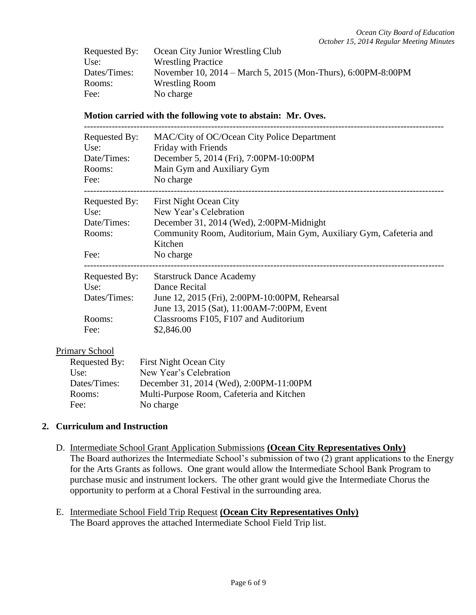| Requested By: | Ocean City Junior Wrestling Club                             |
|---------------|--------------------------------------------------------------|
| Use:          | <b>Wrestling Practice</b>                                    |
| Dates/Times:  | November 10, 2014 – March 5, 2015 (Mon-Thurs), 6:00PM-8:00PM |
| Rooms:        | <b>Wrestling Room</b>                                        |
| Fee:          | No charge                                                    |

#### **Motion carried with the following vote to abstain: Mr. Oves.**

| Requested By:<br>Use:<br>Date/Times:<br>Rooms:<br>Fee: | MAC/City of OC/Ocean City Police Department<br>Friday with Friends<br>December 5, 2014 (Fri), 7:00PM-10:00PM<br>Main Gym and Auxiliary Gym<br>No charge |
|--------------------------------------------------------|---------------------------------------------------------------------------------------------------------------------------------------------------------|
|                                                        |                                                                                                                                                         |
| Requested By:                                          | <b>First Night Ocean City</b>                                                                                                                           |
| Use:                                                   | New Year's Celebration                                                                                                                                  |
| Date/Times:                                            | December 31, 2014 (Wed), 2:00PM-Midnight                                                                                                                |
| Rooms:                                                 | Community Room, Auditorium, Main Gym, Auxiliary Gym, Cafeteria and<br>Kitchen                                                                           |
| Fee:                                                   | No charge                                                                                                                                               |
| Requested By:                                          | <b>Starstruck Dance Academy</b>                                                                                                                         |
| Use:                                                   | Dance Recital                                                                                                                                           |
| Dates/Times:                                           | June 12, 2015 (Fri), 2:00PM-10:00PM, Rehearsal                                                                                                          |
|                                                        | June 13, 2015 (Sat), 11:00AM-7:00PM, Event                                                                                                              |
| Rooms:                                                 | Classrooms F105, F107 and Auditorium                                                                                                                    |
| Fee:                                                   | \$2,846.00                                                                                                                                              |

#### Primary School

| Requested By: | <b>First Night Ocean City</b>             |
|---------------|-------------------------------------------|
| Use:          | New Year's Celebration                    |
| Dates/Times:  | December 31, 2014 (Wed), 2:00PM-11:00PM   |
| Rooms:        | Multi-Purpose Room, Cafeteria and Kitchen |
| Fee:          | No charge                                 |

# **2. Curriculum and Instruction**

- D. Intermediate School Grant Application Submissions **(Ocean City Representatives Only)** The Board authorizes the Intermediate School's submission of two (2) grant applications to the Energy for the Arts Grants as follows. One grant would allow the Intermediate School Bank Program to purchase music and instrument lockers. The other grant would give the Intermediate Chorus the opportunity to perform at a Choral Festival in the surrounding area.
- E. Intermediate School Field Trip Request **(Ocean City Representatives Only)** The Board approves the attached Intermediate School Field Trip list.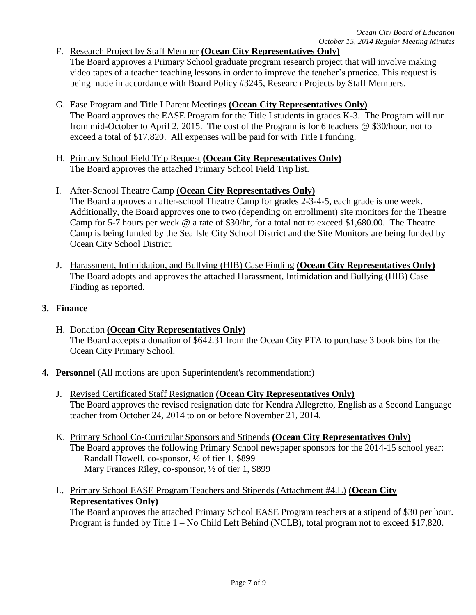# F. Research Project by Staff Member **(Ocean City Representatives Only)**

The Board approves a Primary School graduate program research project that will involve making video tapes of a teacher teaching lessons in order to improve the teacher's practice. This request is being made in accordance with Board Policy #3245, Research Projects by Staff Members.

# G. Ease Program and Title I Parent Meetings **(Ocean City Representatives Only)**

The Board approves the EASE Program for the Title I students in grades K-3. The Program will run from mid-October to April 2, 2015. The cost of the Program is for 6 teachers @ \$30/hour, not to exceed a total of \$17,820. All expenses will be paid for with Title I funding.

H. Primary School Field Trip Request **(Ocean City Representatives Only)** The Board approves the attached Primary School Field Trip list.

## I. After-School Theatre Camp **(Ocean City Representatives Only)** The Board approves an after-school Theatre Camp for grades 2-3-4-5, each grade is one week. Additionally, the Board approves one to two (depending on enrollment) site monitors for the Theatre Camp for 5-7 hours per week @ a rate of \$30/hr, for a total not to exceed \$1,680.00. The Theatre Camp is being funded by the Sea Isle City School District and the Site Monitors are being funded by Ocean City School District.

J. Harassment, Intimidation, and Bullying (HIB) Case Finding **(Ocean City Representatives Only)** The Board adopts and approves the attached Harassment, Intimidation and Bullying (HIB) Case Finding as reported.

## **3. Finance**

- H. Donation **(Ocean City Representatives Only)** The Board accepts a donation of \$642.31 from the Ocean City PTA to purchase 3 book bins for the Ocean City Primary School.
- **4. Personnel** (All motions are upon Superintendent's recommendation:)
	- J. Revised Certificated Staff Resignation **(Ocean City Representatives Only)** The Board approves the revised resignation date for Kendra Allegretto, English as a Second Language teacher from October 24, 2014 to on or before November 21, 2014.
	- K. Primary School Co-Curricular Sponsors and Stipends **(Ocean City Representatives Only)** The Board approves the following Primary School newspaper sponsors for the 2014-15 school year: Randall Howell, co-sponsor, ½ of tier 1, \$899 Mary Frances Riley, co-sponsor, ½ of tier 1, \$899
	- L. Primary School EASE Program Teachers and Stipends (Attachment #4.L) **(Ocean City Representatives Only)**

The Board approves the attached Primary School EASE Program teachers at a stipend of \$30 per hour. Program is funded by Title 1 – No Child Left Behind (NCLB), total program not to exceed \$17,820.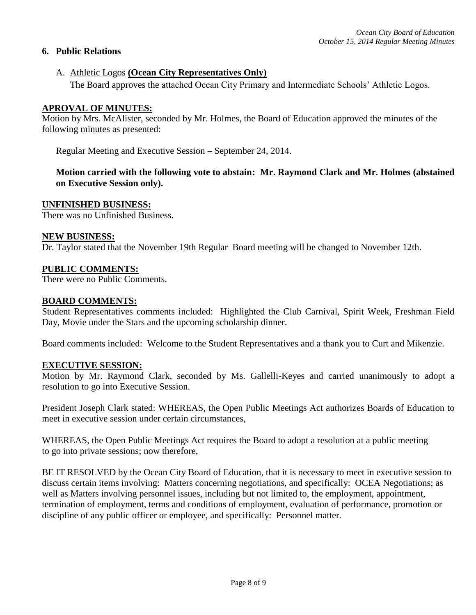# **6. Public Relations**

#### A. Athletic Logos **(Ocean City Representatives Only)**

The Board approves the attached Ocean City Primary and Intermediate Schools' Athletic Logos.

#### **APROVAL OF MINUTES:**

Motion by Mrs. McAlister, seconded by Mr. Holmes, the Board of Education approved the minutes of the following minutes as presented:

Regular Meeting and Executive Session – September 24, 2014.

# **Motion carried with the following vote to abstain: Mr. Raymond Clark and Mr. Holmes (abstained on Executive Session only).**

#### **UNFINISHED BUSINESS:**

There was no Unfinished Business.

#### **NEW BUSINESS:**

Dr. Taylor stated that the November 19th Regular Board meeting will be changed to November 12th.

#### **PUBLIC COMMENTS:**

There were no Public Comments.

#### **BOARD COMMENTS:**

Student Representatives comments included: Highlighted the Club Carnival, Spirit Week, Freshman Field Day, Movie under the Stars and the upcoming scholarship dinner.

Board comments included: Welcome to the Student Representatives and a thank you to Curt and Mikenzie.

#### **EXECUTIVE SESSION:**

Motion by Mr. Raymond Clark, seconded by Ms. Gallelli-Keyes and carried unanimously to adopt a resolution to go into Executive Session.

President Joseph Clark stated: WHEREAS, the Open Public Meetings Act authorizes Boards of Education to meet in executive session under certain circumstances,

WHEREAS, the Open Public Meetings Act requires the Board to adopt a resolution at a public meeting to go into private sessions; now therefore,

BE IT RESOLVED by the Ocean City Board of Education, that it is necessary to meet in executive session to discuss certain items involving: Matters concerning negotiations, and specifically: OCEA Negotiations; as well as Matters involving personnel issues, including but not limited to, the employment, appointment, termination of employment, terms and conditions of employment, evaluation of performance, promotion or discipline of any public officer or employee, and specifically: Personnel matter.